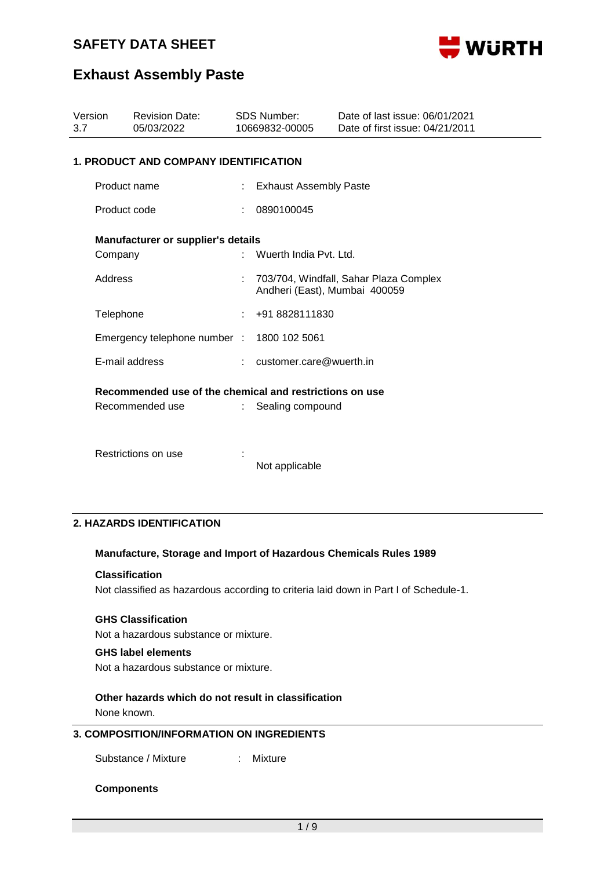

## **Exhaust Assembly Paste**

| Version<br>3.7 |                                              | <b>Revision Date:</b><br>05/03/2022                                        |   | <b>SDS Number:</b><br>10669832-00005 | Date of last issue: 06/01/2021<br>Date of first issue: 04/21/2011 |  |  |  |
|----------------|----------------------------------------------|----------------------------------------------------------------------------|---|--------------------------------------|-------------------------------------------------------------------|--|--|--|
|                | <b>1. PRODUCT AND COMPANY IDENTIFICATION</b> |                                                                            |   |                                      |                                                                   |  |  |  |
|                | Product name                                 |                                                                            |   | <b>Exhaust Assembly Paste</b>        |                                                                   |  |  |  |
|                | Product code                                 |                                                                            |   | 0890100045                           |                                                                   |  |  |  |
|                |                                              | <b>Manufacturer or supplier's details</b>                                  |   |                                      |                                                                   |  |  |  |
|                | Company                                      |                                                                            |   | Wuerth India Pvt. Ltd.               |                                                                   |  |  |  |
|                | Address                                      |                                                                            |   | Andheri (East), Mumbai 400059        | 703/704, Windfall, Sahar Plaza Complex                            |  |  |  |
|                | Telephone                                    |                                                                            | ÷ | +91 8828111830                       |                                                                   |  |  |  |
|                |                                              | Emergency telephone number : 1800 102 5061                                 |   |                                      |                                                                   |  |  |  |
|                | E-mail address                               |                                                                            |   | customer.care@wuerth.in              |                                                                   |  |  |  |
|                |                                              | Recommended use of the chemical and restrictions on use<br>Recommended use |   | Sealing compound                     |                                                                   |  |  |  |
|                |                                              | Restrictions on use                                                        |   | Not applicable                       |                                                                   |  |  |  |

### **2. HAZARDS IDENTIFICATION**

#### **Manufacture, Storage and Import of Hazardous Chemicals Rules 1989**

### **Classification**

Not classified as hazardous according to criteria laid down in Part I of Schedule-1.

#### **GHS Classification**

Not a hazardous substance or mixture.

### **GHS label elements**

Not a hazardous substance or mixture.

### **Other hazards which do not result in classification** None known.

**3. COMPOSITION/INFORMATION ON INGREDIENTS**

Substance / Mixture : Mixture

#### **Components**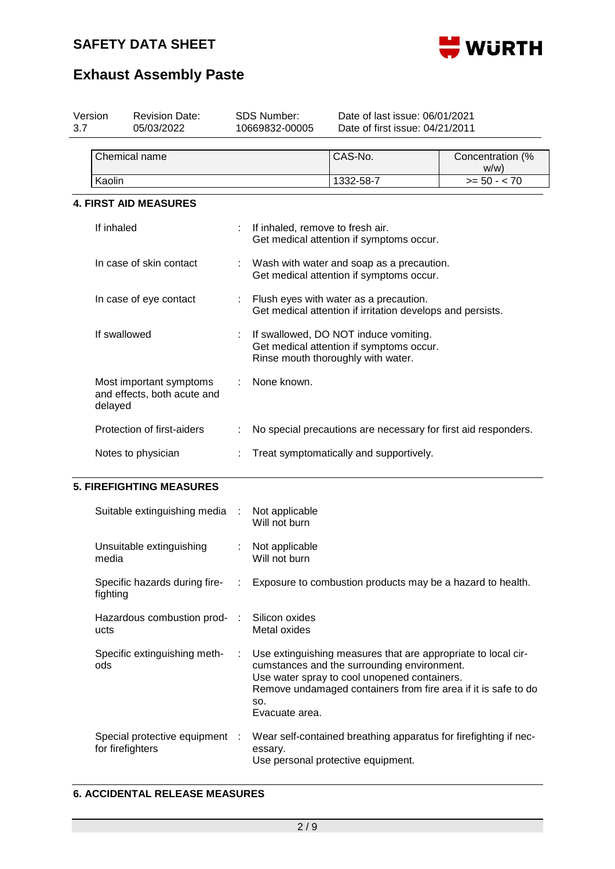

| SDS Number:<br>Version<br><b>Revision Date:</b><br>05/03/2022<br>10669832-00005<br>3.7 |                                                                   | Date of last issue: 06/01/2021<br>Date of first issue: 04/21/2011 |                                                                |                                                                                                                                                                                                                                |                             |  |  |  |  |
|----------------------------------------------------------------------------------------|-------------------------------------------------------------------|-------------------------------------------------------------------|----------------------------------------------------------------|--------------------------------------------------------------------------------------------------------------------------------------------------------------------------------------------------------------------------------|-----------------------------|--|--|--|--|
|                                                                                        | Chemical name                                                     |                                                                   |                                                                | CAS-No.                                                                                                                                                                                                                        | Concentration (%<br>$W/W$ ) |  |  |  |  |
|                                                                                        | Kaolin                                                            |                                                                   |                                                                | 1332-58-7                                                                                                                                                                                                                      | $>= 50 - < 70$              |  |  |  |  |
|                                                                                        | <b>4. FIRST AID MEASURES</b>                                      |                                                                   |                                                                |                                                                                                                                                                                                                                |                             |  |  |  |  |
|                                                                                        | If inhaled                                                        |                                                                   | If inhaled, remove to fresh air.                               | Get medical attention if symptoms occur.                                                                                                                                                                                       |                             |  |  |  |  |
|                                                                                        | In case of skin contact                                           |                                                                   |                                                                | Wash with water and soap as a precaution.<br>Get medical attention if symptoms occur.                                                                                                                                          |                             |  |  |  |  |
|                                                                                        | In case of eye contact                                            |                                                                   |                                                                | Flush eyes with water as a precaution.<br>Get medical attention if irritation develops and persists.                                                                                                                           |                             |  |  |  |  |
|                                                                                        | If swallowed                                                      |                                                                   |                                                                | If swallowed, DO NOT induce vomiting.<br>Get medical attention if symptoms occur.<br>Rinse mouth thoroughly with water.                                                                                                        |                             |  |  |  |  |
|                                                                                        | Most important symptoms<br>and effects, both acute and<br>delayed |                                                                   | None known.                                                    |                                                                                                                                                                                                                                |                             |  |  |  |  |
|                                                                                        | Protection of first-aiders                                        |                                                                   | No special precautions are necessary for first aid responders. |                                                                                                                                                                                                                                |                             |  |  |  |  |
|                                                                                        | Notes to physician                                                |                                                                   | Treat symptomatically and supportively.                        |                                                                                                                                                                                                                                |                             |  |  |  |  |
|                                                                                        | <b>5. FIREFIGHTING MEASURES</b>                                   |                                                                   |                                                                |                                                                                                                                                                                                                                |                             |  |  |  |  |
|                                                                                        | Suitable extinguishing media                                      |                                                                   | Not applicable<br>Will not burn                                |                                                                                                                                                                                                                                |                             |  |  |  |  |
|                                                                                        | Unsuitable extinguishing<br>media                                 |                                                                   | Not applicable<br>Will not burn                                |                                                                                                                                                                                                                                |                             |  |  |  |  |
|                                                                                        | Specific hazards during fire-<br>fighting                         |                                                                   |                                                                | Exposure to combustion products may be a hazard to health.                                                                                                                                                                     |                             |  |  |  |  |
|                                                                                        | Hazardous combustion prod-<br>ucts                                | ÷                                                                 | Silicon oxides<br>Metal oxides                                 |                                                                                                                                                                                                                                |                             |  |  |  |  |
|                                                                                        | Specific extinguishing meth-<br>ods                               |                                                                   | SO.<br>Evacuate area.                                          | Use extinguishing measures that are appropriate to local cir-<br>cumstances and the surrounding environment.<br>Use water spray to cool unopened containers.<br>Remove undamaged containers from fire area if it is safe to do |                             |  |  |  |  |
|                                                                                        | Special protective equipment<br>for firefighters                  |                                                                   | essary.                                                        | Wear self-contained breathing apparatus for firefighting if nec-<br>Use personal protective equipment.                                                                                                                         |                             |  |  |  |  |

## **6. ACCIDENTAL RELEASE MEASURES**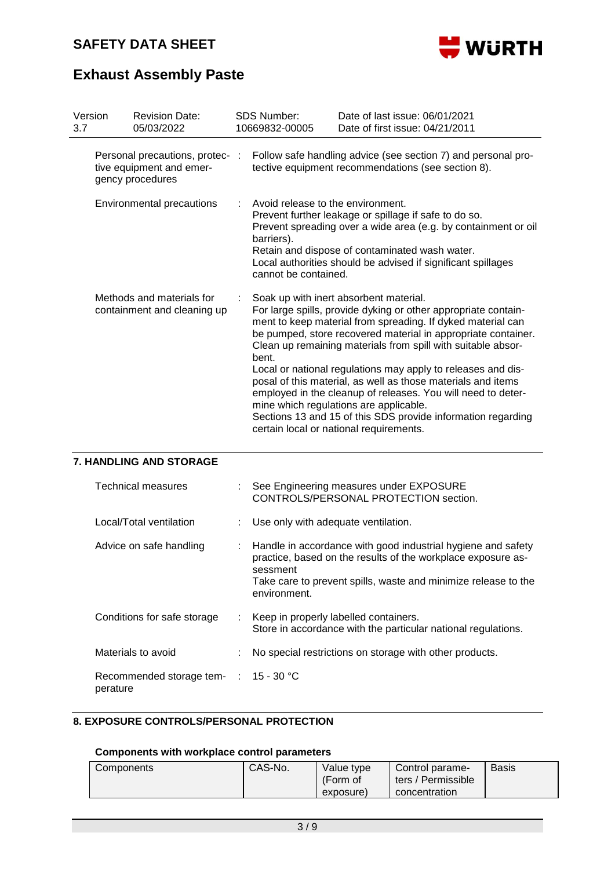

# **Exhaust Assembly Paste**

| Version<br>3.7                                           |                                                                                 | <b>Revision Date:</b><br>05/03/2022                                                                                                                                                                                                                                                                                                                                                                                                                                                                                                                                                                                                                                    | <b>SDS Number:</b><br>10669832-00005                                                                                                                                                                                                                                                                                 | Date of last issue: 06/01/2021<br>Date of first issue: 04/21/2011                                                   |  |  |  |  |
|----------------------------------------------------------|---------------------------------------------------------------------------------|------------------------------------------------------------------------------------------------------------------------------------------------------------------------------------------------------------------------------------------------------------------------------------------------------------------------------------------------------------------------------------------------------------------------------------------------------------------------------------------------------------------------------------------------------------------------------------------------------------------------------------------------------------------------|----------------------------------------------------------------------------------------------------------------------------------------------------------------------------------------------------------------------------------------------------------------------------------------------------------------------|---------------------------------------------------------------------------------------------------------------------|--|--|--|--|
|                                                          | Personal precautions, protec- :<br>tive equipment and emer-<br>gency procedures |                                                                                                                                                                                                                                                                                                                                                                                                                                                                                                                                                                                                                                                                        |                                                                                                                                                                                                                                                                                                                      | Follow safe handling advice (see section 7) and personal pro-<br>tective equipment recommendations (see section 8). |  |  |  |  |
| <b>Environmental precautions</b>                         |                                                                                 |                                                                                                                                                                                                                                                                                                                                                                                                                                                                                                                                                                                                                                                                        | Avoid release to the environment.<br>Prevent further leakage or spillage if safe to do so.<br>Prevent spreading over a wide area (e.g. by containment or oil<br>barriers).<br>Retain and dispose of contaminated wash water.<br>Local authorities should be advised if significant spillages<br>cannot be contained. |                                                                                                                     |  |  |  |  |
| Methods and materials for<br>containment and cleaning up |                                                                                 | Soak up with inert absorbent material.<br>For large spills, provide dyking or other appropriate contain-<br>ment to keep material from spreading. If dyked material can<br>be pumped, store recovered material in appropriate container.<br>Clean up remaining materials from spill with suitable absor-<br>bent.<br>Local or national regulations may apply to releases and dis-<br>posal of this material, as well as those materials and items<br>employed in the cleanup of releases. You will need to deter-<br>mine which regulations are applicable.<br>Sections 13 and 15 of this SDS provide information regarding<br>certain local or national requirements. |                                                                                                                                                                                                                                                                                                                      |                                                                                                                     |  |  |  |  |
| 7. HANDLING AND STORAGE                                  |                                                                                 |                                                                                                                                                                                                                                                                                                                                                                                                                                                                                                                                                                                                                                                                        |                                                                                                                                                                                                                                                                                                                      |                                                                                                                     |  |  |  |  |
|                                                          |                                                                                 | <b>Technical measures</b>                                                                                                                                                                                                                                                                                                                                                                                                                                                                                                                                                                                                                                              | See Engineering measures under EXPOSURE<br>CONTROLS/PERSONAL PROTECTION section.                                                                                                                                                                                                                                     |                                                                                                                     |  |  |  |  |
|                                                          |                                                                                 | Local/Total ventilation                                                                                                                                                                                                                                                                                                                                                                                                                                                                                                                                                                                                                                                | Use only with adequate ventilation.                                                                                                                                                                                                                                                                                  |                                                                                                                     |  |  |  |  |

| Advice on safe handling | : Handle in accordance with good industrial hygiene and safety<br>practice, based on the results of the workplace exposure as- |  |  |  |
|-------------------------|--------------------------------------------------------------------------------------------------------------------------------|--|--|--|
|                         | sessment<br>Take care to prevent spills, waste and minimize release to the                                                     |  |  |  |

| Conditions for safe storage                                  | : Keep in properly labelled containers.<br>Store in accordance with the particular national regulations. |
|--------------------------------------------------------------|----------------------------------------------------------------------------------------------------------|
| Materials to avoid                                           | : No special restrictions on storage with other products.                                                |
| Recommended storage tem- $\therefore$ 15 - 30 °C<br>perature |                                                                                                          |

environment.

### **8. EXPOSURE CONTROLS/PERSONAL PROTECTION**

### **Components with workplace control parameters**

| Components | CAS-No. | Value type<br>(Form of | Control parame-<br>ters / Permissible | <b>Basis</b> |
|------------|---------|------------------------|---------------------------------------|--------------|
|            |         | exposure)              | concentration                         |              |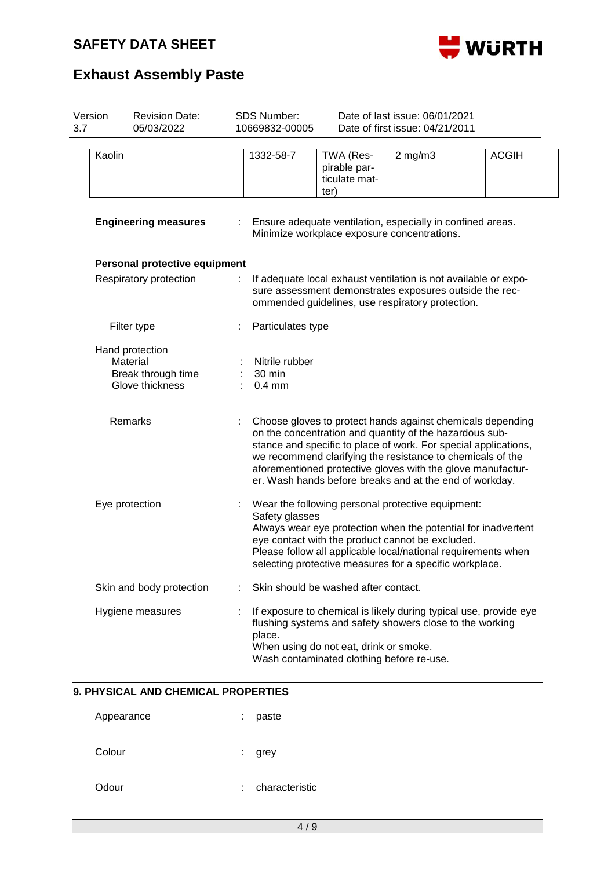

| 3.7                                                                                                                                                                                                      | Version                     | <b>Revision Date:</b><br>05/03/2022                                  |  | <b>SDS Number:</b><br>10669832-00005 |                                                                                                           | Date of last issue: 06/01/2021<br>Date of first issue: 04/21/2011                                                                                                                                                                                                                                                                                                                |              |  |  |  |
|----------------------------------------------------------------------------------------------------------------------------------------------------------------------------------------------------------|-----------------------------|----------------------------------------------------------------------|--|--------------------------------------|-----------------------------------------------------------------------------------------------------------|----------------------------------------------------------------------------------------------------------------------------------------------------------------------------------------------------------------------------------------------------------------------------------------------------------------------------------------------------------------------------------|--------------|--|--|--|
|                                                                                                                                                                                                          | Kaolin                      |                                                                      |  | 1332-58-7                            | TWA (Res-<br>pirable par-<br>ticulate mat-<br>ter)                                                        | $2$ mg/m $3$                                                                                                                                                                                                                                                                                                                                                                     | <b>ACGIH</b> |  |  |  |
|                                                                                                                                                                                                          | <b>Engineering measures</b> |                                                                      |  |                                      | Ensure adequate ventilation, especially in confined areas.<br>Minimize workplace exposure concentrations. |                                                                                                                                                                                                                                                                                                                                                                                  |              |  |  |  |
|                                                                                                                                                                                                          |                             | Personal protective equipment                                        |  |                                      |                                                                                                           |                                                                                                                                                                                                                                                                                                                                                                                  |              |  |  |  |
| Respiratory protection<br>If adequate local exhaust ventilation is not available or expo-<br>sure assessment demonstrates exposures outside the rec-<br>ommended guidelines, use respiratory protection. |                             |                                                                      |  |                                      |                                                                                                           |                                                                                                                                                                                                                                                                                                                                                                                  |              |  |  |  |
|                                                                                                                                                                                                          |                             | Filter type                                                          |  | Particulates type                    |                                                                                                           |                                                                                                                                                                                                                                                                                                                                                                                  |              |  |  |  |
|                                                                                                                                                                                                          |                             | Hand protection<br>Material<br>Break through time<br>Glove thickness |  | Nitrile rubber<br>30 min<br>$0.4$ mm |                                                                                                           |                                                                                                                                                                                                                                                                                                                                                                                  |              |  |  |  |
|                                                                                                                                                                                                          |                             | Remarks                                                              |  |                                      |                                                                                                           | Choose gloves to protect hands against chemicals depending<br>on the concentration and quantity of the hazardous sub-<br>stance and specific to place of work. For special applications,<br>we recommend clarifying the resistance to chemicals of the<br>aforementioned protective gloves with the glove manufactur-<br>er. Wash hands before breaks and at the end of workday. |              |  |  |  |
|                                                                                                                                                                                                          | Eye protection              |                                                                      |  | Safety glasses                       |                                                                                                           | Wear the following personal protective equipment:<br>Always wear eye protection when the potential for inadvertent<br>eye contact with the product cannot be excluded.<br>Please follow all applicable local/national requirements when<br>selecting protective measures for a specific workplace.                                                                               |              |  |  |  |
|                                                                                                                                                                                                          |                             | Skin and body protection                                             |  |                                      | Skin should be washed after contact.                                                                      |                                                                                                                                                                                                                                                                                                                                                                                  |              |  |  |  |
|                                                                                                                                                                                                          |                             | Hygiene measures                                                     |  | place.                               | When using do not eat, drink or smoke.<br>Wash contaminated clothing before re-use.                       | If exposure to chemical is likely during typical use, provide eye<br>flushing systems and safety showers close to the working                                                                                                                                                                                                                                                    |              |  |  |  |

### **9. PHYSICAL AND CHEMICAL PROPERTIES**

| Appearance | paste<br>t.         |
|------------|---------------------|
| Colour     | ÷.<br>grey          |
| Odour      | characteristic<br>÷ |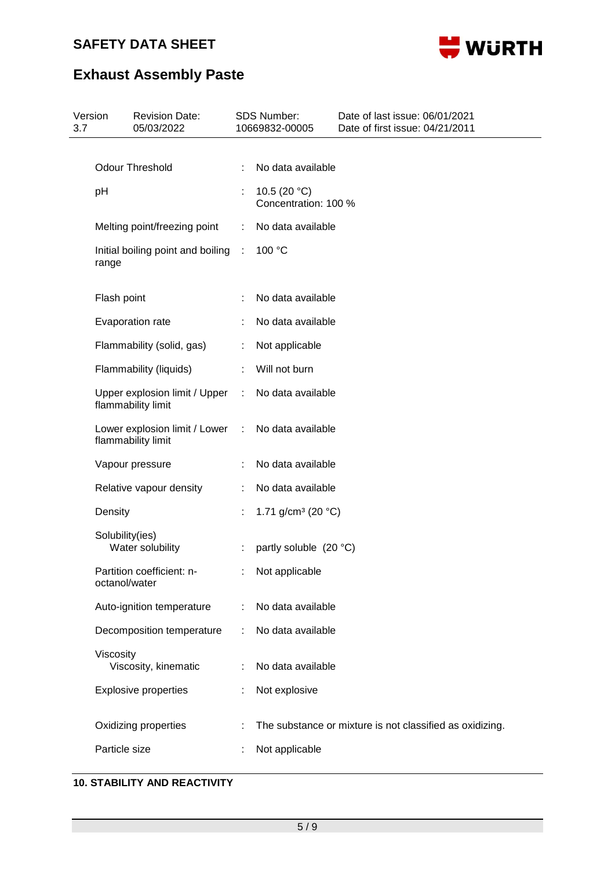

# **Exhaust Assembly Paste**

| Version<br>3.7 | <b>Revision Date:</b><br>05/03/2022                 |   | <b>SDS Number:</b><br>10669832-00005    | Date of last issue: 06/01/2021<br>Date of first issue: 04/21/2011 |
|----------------|-----------------------------------------------------|---|-----------------------------------------|-------------------------------------------------------------------|
|                | <b>Odour Threshold</b>                              |   |                                         |                                                                   |
|                |                                                     |   | No data available                       |                                                                   |
|                | pH                                                  |   | 10.5 (20 $°C$ )<br>Concentration: 100 % |                                                                   |
|                | Melting point/freezing point                        | ÷ | No data available                       |                                                                   |
|                | Initial boiling point and boiling<br>range          | ÷ | 100 °C                                  |                                                                   |
|                | Flash point                                         |   | No data available                       |                                                                   |
|                | Evaporation rate                                    |   | No data available                       |                                                                   |
|                | Flammability (solid, gas)                           | ÷ | Not applicable                          |                                                                   |
|                | Flammability (liquids)                              |   | Will not burn                           |                                                                   |
|                | Upper explosion limit / Upper<br>flammability limit | ÷ | No data available                       |                                                                   |
|                | Lower explosion limit / Lower<br>flammability limit | ÷ | No data available                       |                                                                   |
|                | Vapour pressure                                     |   | No data available                       |                                                                   |
|                | Relative vapour density                             |   | No data available                       |                                                                   |
|                | Density                                             |   | 1.71 g/cm <sup>3</sup> (20 $°C$ )       |                                                                   |
|                | Solubility(ies)<br>Water solubility                 |   | partly soluble (20 °C)                  |                                                                   |
|                | Partition coefficient: n-<br>octanol/water          |   | Not applicable                          |                                                                   |
|                | Auto-ignition temperature                           | ÷ | No data available                       |                                                                   |
|                | Decomposition temperature                           |   | No data available                       |                                                                   |
|                | Viscosity<br>Viscosity, kinematic                   |   | No data available                       |                                                                   |
|                | <b>Explosive properties</b>                         |   | Not explosive                           |                                                                   |
|                | Oxidizing properties                                |   |                                         | The substance or mixture is not classified as oxidizing.          |
|                | Particle size                                       |   | Not applicable                          |                                                                   |
|                |                                                     |   |                                         |                                                                   |

## **10. STABILITY AND REACTIVITY**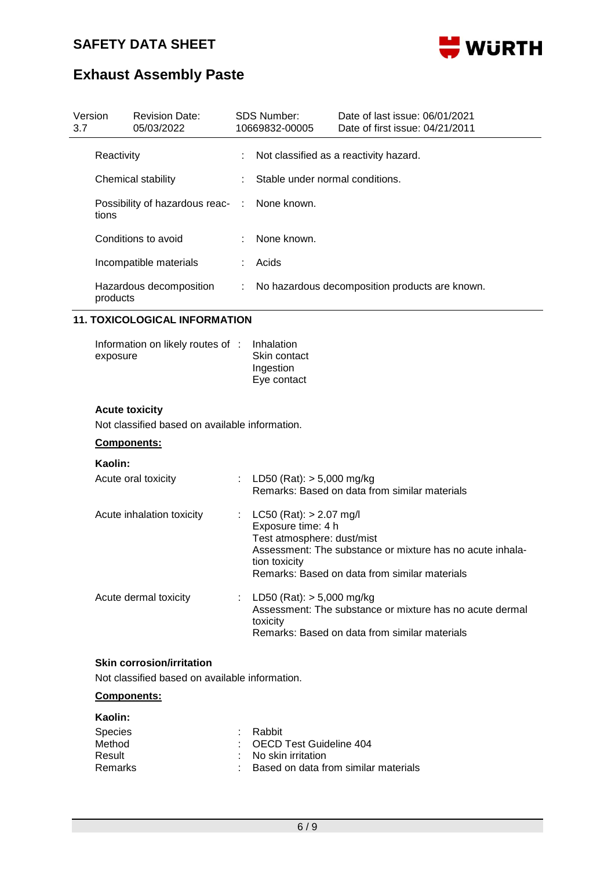

| 3.7 | Version                      | <b>Revision Date:</b><br>05/03/2022                                                |                             | <b>SDS Number:</b><br>10669832-00005                                                           | Date of last issue: 06/01/2021<br>Date of first issue: 04/21/2011                                          |
|-----|------------------------------|------------------------------------------------------------------------------------|-----------------------------|------------------------------------------------------------------------------------------------|------------------------------------------------------------------------------------------------------------|
|     | Reactivity                   |                                                                                    |                             |                                                                                                | Not classified as a reactivity hazard.                                                                     |
|     | Chemical stability           |                                                                                    |                             | Stable under normal conditions.                                                                |                                                                                                            |
|     | tions                        | Possibility of hazardous reac- :                                                   |                             | None known.                                                                                    |                                                                                                            |
|     |                              | Conditions to avoid                                                                |                             | None known.                                                                                    |                                                                                                            |
|     |                              | Incompatible materials                                                             | ÷                           | Acids                                                                                          |                                                                                                            |
|     | products                     | Hazardous decomposition                                                            | $\mathcal{L}^{\mathcal{L}}$ |                                                                                                | No hazardous decomposition products are known.                                                             |
|     |                              | <b>11. TOXICOLOGICAL INFORMATION</b>                                               |                             |                                                                                                |                                                                                                            |
|     | exposure                     | Information on likely routes of :                                                  |                             | Inhalation<br>Skin contact<br>Ingestion<br>Eye contact                                         |                                                                                                            |
|     |                              | <b>Acute toxicity</b><br>Not classified based on available information.            |                             |                                                                                                |                                                                                                            |
|     | Components:                  |                                                                                    |                             |                                                                                                |                                                                                                            |
|     | Kaolin:                      | Acute oral toxicity                                                                |                             | LD50 (Rat): $> 5,000$ mg/kg                                                                    | Remarks: Based on data from similar materials                                                              |
|     |                              | Acute inhalation toxicity                                                          |                             | LC50 (Rat): $> 2.07$ mg/l<br>Exposure time: 4 h<br>Test atmosphere: dust/mist<br>tion toxicity | Assessment: The substance or mixture has no acute inhala-<br>Remarks: Based on data from similar materials |
|     |                              | Acute dermal toxicity                                                              | $\mathbb{Z}^n$              | LD50 (Rat): $> 5,000$ mg/kg<br>toxicity                                                        | Assessment: The substance or mixture has no acute dermal<br>Remarks: Based on data from similar materials  |
|     |                              | <b>Skin corrosion/irritation</b><br>Not classified based on available information. |                             |                                                                                                |                                                                                                            |
|     |                              | Components:                                                                        |                             |                                                                                                |                                                                                                            |
|     | Kaolin:<br>Species<br>Method |                                                                                    |                             | Rabbit<br><b>OECD Test Guideline 404</b>                                                       |                                                                                                            |

- 
- Result : No skin irritation<br>Remarks : Based on data free : Based on data from similar materials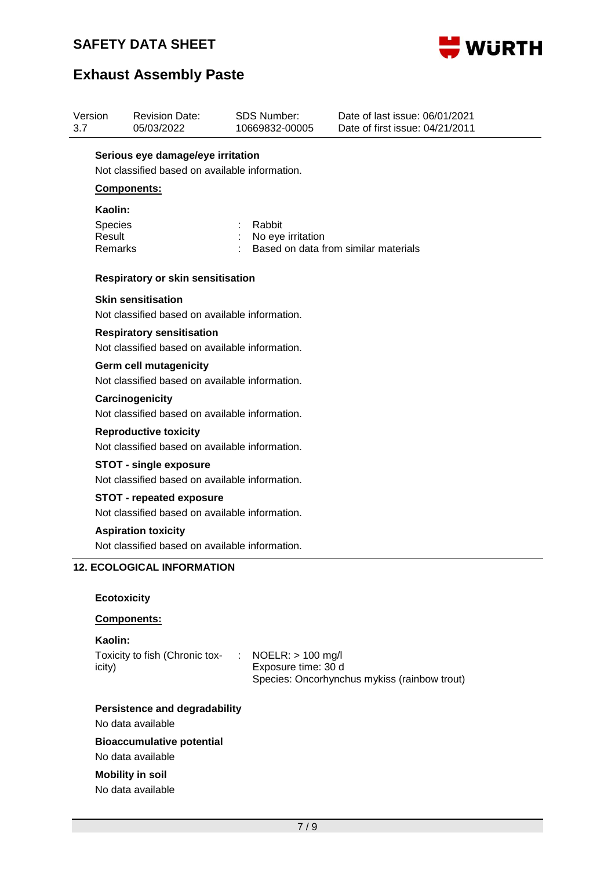

| 3.7 | Version                                                                         | <b>Revision Date:</b><br>05/03/2022                                                 |  | <b>SDS Number:</b><br>10669832-00005         | Date of last issue: 06/01/2021<br>Date of first issue: 04/21/2011 |  |  |
|-----|---------------------------------------------------------------------------------|-------------------------------------------------------------------------------------|--|----------------------------------------------|-------------------------------------------------------------------|--|--|
|     |                                                                                 | Serious eye damage/eye irritation<br>Not classified based on available information. |  |                                              |                                                                   |  |  |
|     |                                                                                 | <b>Components:</b>                                                                  |  |                                              |                                                                   |  |  |
|     | Kaolin:                                                                         |                                                                                     |  |                                              |                                                                   |  |  |
|     | <b>Species</b>                                                                  |                                                                                     |  | Rabbit                                       |                                                                   |  |  |
|     | Result<br>Remarks                                                               |                                                                                     |  | No eye irritation                            | Based on data from similar materials                              |  |  |
|     |                                                                                 |                                                                                     |  |                                              |                                                                   |  |  |
|     |                                                                                 | <b>Respiratory or skin sensitisation</b>                                            |  |                                              |                                                                   |  |  |
|     |                                                                                 | <b>Skin sensitisation</b>                                                           |  |                                              |                                                                   |  |  |
|     |                                                                                 | Not classified based on available information.                                      |  |                                              |                                                                   |  |  |
|     |                                                                                 | <b>Respiratory sensitisation</b>                                                    |  |                                              |                                                                   |  |  |
|     |                                                                                 | Not classified based on available information.                                      |  |                                              |                                                                   |  |  |
|     | <b>Germ cell mutagenicity</b><br>Not classified based on available information. |                                                                                     |  |                                              |                                                                   |  |  |
|     |                                                                                 | Carcinogenicity                                                                     |  |                                              |                                                                   |  |  |
|     |                                                                                 | Not classified based on available information.                                      |  |                                              |                                                                   |  |  |
|     |                                                                                 | <b>Reproductive toxicity</b>                                                        |  |                                              |                                                                   |  |  |
|     |                                                                                 | Not classified based on available information.                                      |  |                                              |                                                                   |  |  |
|     |                                                                                 | <b>STOT - single exposure</b>                                                       |  |                                              |                                                                   |  |  |
|     |                                                                                 | Not classified based on available information.                                      |  |                                              |                                                                   |  |  |
|     |                                                                                 | <b>STOT - repeated exposure</b><br>Not classified based on available information.   |  |                                              |                                                                   |  |  |
|     |                                                                                 | <b>Aspiration toxicity</b>                                                          |  |                                              |                                                                   |  |  |
|     |                                                                                 | Not classified based on available information.                                      |  |                                              |                                                                   |  |  |
|     |                                                                                 | <b>12. ECOLOGICAL INFORMATION</b>                                                   |  |                                              |                                                                   |  |  |
|     |                                                                                 |                                                                                     |  |                                              |                                                                   |  |  |
|     | <b>Ecotoxicity</b>                                                              |                                                                                     |  |                                              |                                                                   |  |  |
|     |                                                                                 | Components:                                                                         |  |                                              |                                                                   |  |  |
|     | Kaolin:                                                                         |                                                                                     |  |                                              |                                                                   |  |  |
|     | icity)                                                                          | Toxicity to fish (Chronic tox-                                                      |  | : NOELR: $> 100$ mg/l<br>Exposure time: 30 d |                                                                   |  |  |
|     |                                                                                 |                                                                                     |  |                                              | Species: Oncorhynchus mykiss (rainbow trout)                      |  |  |
|     |                                                                                 | <b>Persistence and degradability</b>                                                |  |                                              |                                                                   |  |  |
|     |                                                                                 | No data available                                                                   |  |                                              |                                                                   |  |  |
|     |                                                                                 | <b>Bioaccumulative potential</b>                                                    |  |                                              |                                                                   |  |  |

No data available **Mobility in soil**

No data available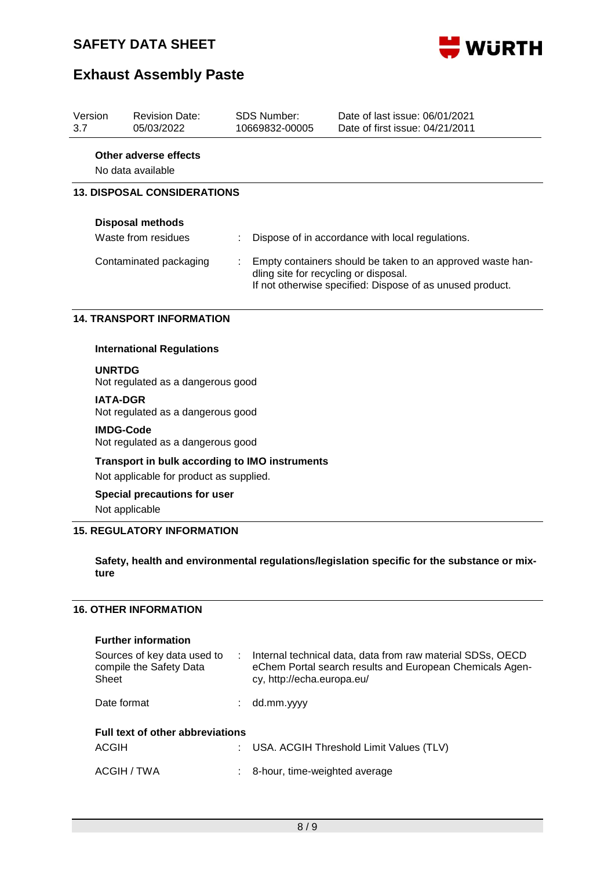

## **Exhaust Assembly Paste**

| Version<br>3.7 | <b>Revision Date:</b><br>05/03/2022            |   | SDS Number:<br>10669832-00005                                                                                                                                    | Date of last issue: 06/01/2021<br>Date of first issue: 04/21/2011 |  |  |  |  |
|----------------|------------------------------------------------|---|------------------------------------------------------------------------------------------------------------------------------------------------------------------|-------------------------------------------------------------------|--|--|--|--|
|                | Other adverse effects<br>No data available     |   |                                                                                                                                                                  |                                                                   |  |  |  |  |
|                | <b>13. DISPOSAL CONSIDERATIONS</b>             |   |                                                                                                                                                                  |                                                                   |  |  |  |  |
|                | <b>Disposal methods</b><br>Waste from residues |   |                                                                                                                                                                  | Dispose of in accordance with local regulations.                  |  |  |  |  |
|                | Contaminated packaging                         | ÷ | Empty containers should be taken to an approved waste han-<br>dling site for recycling or disposal.<br>If not otherwise specified: Dispose of as unused product. |                                                                   |  |  |  |  |
|                | <b>14. TRANSPORT INFORMATION</b>               |   |                                                                                                                                                                  |                                                                   |  |  |  |  |

### **International Regulations**

**UNRTDG**

Not regulated as a dangerous good

#### **IATA-DGR**

Not regulated as a dangerous good

#### **IMDG-Code**

Not regulated as a dangerous good

### **Transport in bulk according to IMO instruments**

Not applicable for product as supplied.

### **Special precautions for user**

Not applicable

### **15. REGULATORY INFORMATION**

### **Safety, health and environmental regulations/legislation specific for the substance or mixture**

### **16. OTHER INFORMATION**

#### **Further information**

| Sources of key data used to<br>compile the Safety Data<br>Sheet | Internal technical data, data from raw material SDSs, OECD<br>eChem Portal search results and European Chemicals Agen-<br>cy, http://echa.europa.eu/ |  |
|-----------------------------------------------------------------|------------------------------------------------------------------------------------------------------------------------------------------------------|--|
| Date format                                                     | dd.mm.yyyy                                                                                                                                           |  |
| <b>Full text of other abbreviations</b>                         |                                                                                                                                                      |  |
| <b>ACGIH</b>                                                    | USA. ACGIH Threshold Limit Values (TLV)                                                                                                              |  |
| ACGIH / TWA                                                     | 8-hour, time-weighted average                                                                                                                        |  |